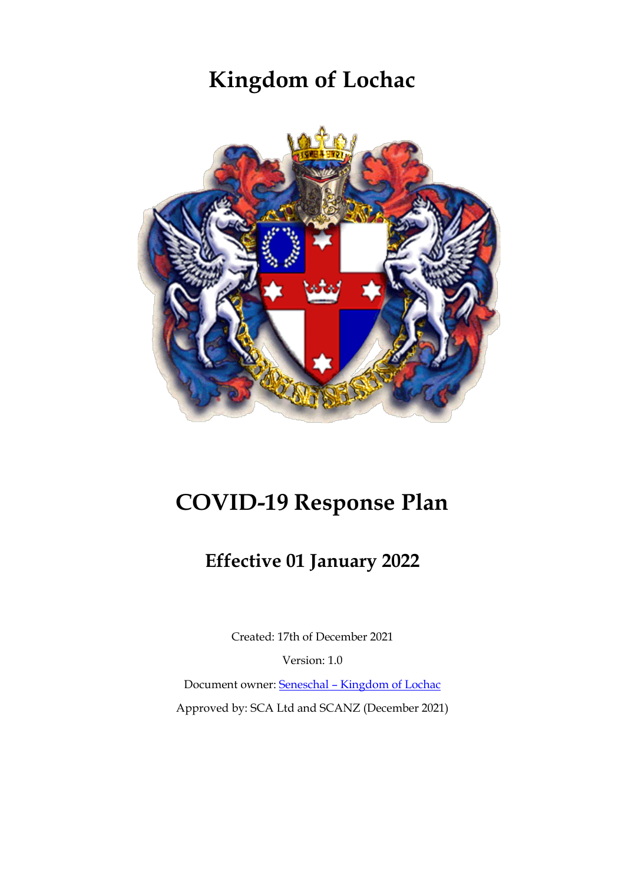# **Kingdom of Lochac**



# **COVID-19 Response Plan**

## **Effective 01 January 2022**

Created: 17th of December 2021

Version: 1.0

Document owner: Seneschal – [Kingdom of Lochac](mailto:seneschal@lochac.sca.org) Approved by: SCA Ltd and SCANZ (December 2021)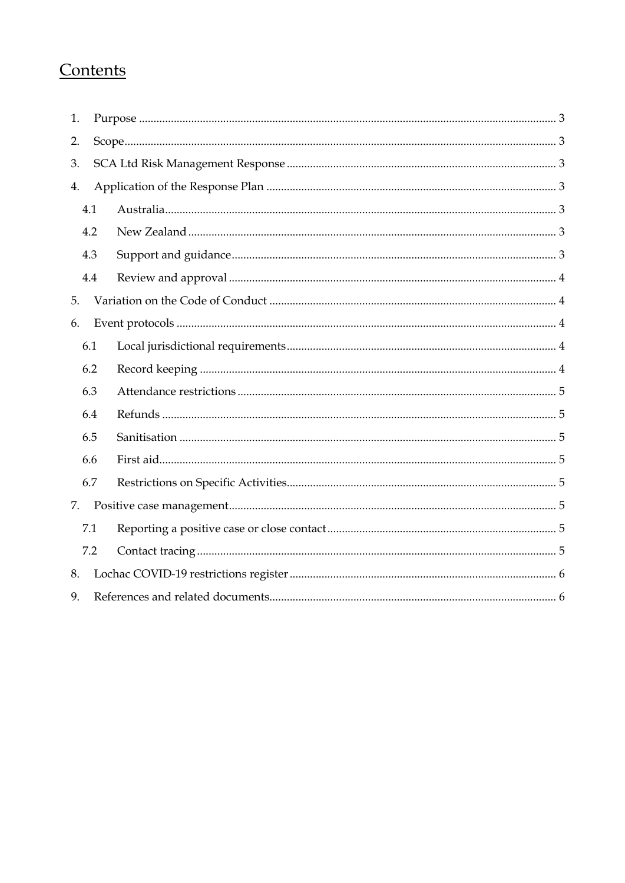## Contents

| 1.  |     |  |  |  |  |  |
|-----|-----|--|--|--|--|--|
| 2.  |     |  |  |  |  |  |
| 3.  |     |  |  |  |  |  |
| 4.  |     |  |  |  |  |  |
| 4.1 |     |  |  |  |  |  |
|     | 4.2 |  |  |  |  |  |
|     | 4.3 |  |  |  |  |  |
|     | 4.4 |  |  |  |  |  |
| 5.  |     |  |  |  |  |  |
| 6.  |     |  |  |  |  |  |
|     | 6.1 |  |  |  |  |  |
|     | 6.2 |  |  |  |  |  |
|     | 6.3 |  |  |  |  |  |
|     | 6.4 |  |  |  |  |  |
|     | 6.5 |  |  |  |  |  |
|     | 6.6 |  |  |  |  |  |
|     | 6.7 |  |  |  |  |  |
| 7.  |     |  |  |  |  |  |
|     | 7.1 |  |  |  |  |  |
|     | 7.2 |  |  |  |  |  |
| 8.  |     |  |  |  |  |  |
| 9.  |     |  |  |  |  |  |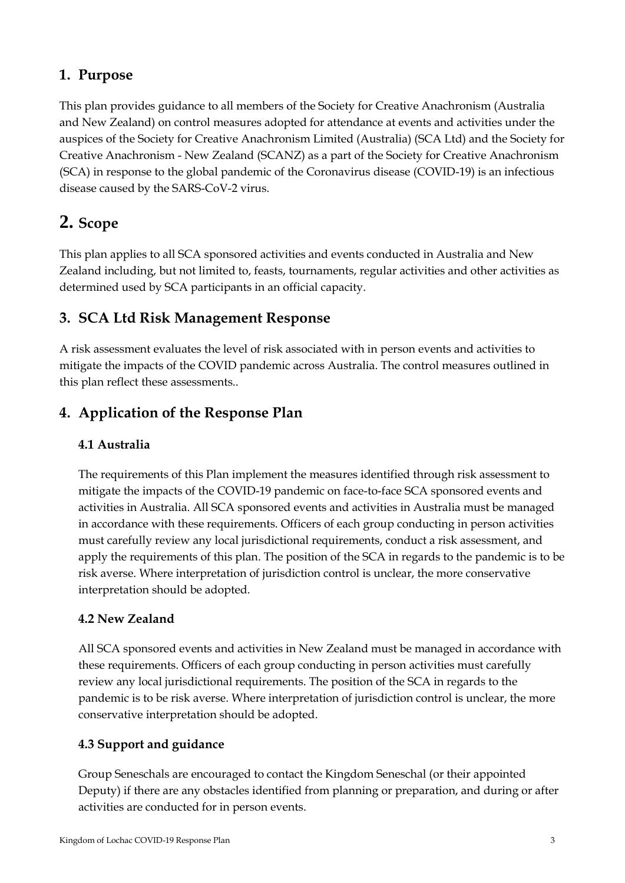## <span id="page-2-0"></span>**1. Purpose**

This plan provides guidance to all members of the Society for Creative Anachronism (Australia and New Zealand) on control measures adopted for attendance at events and activities under the auspices of the Society for Creative Anachronism Limited (Australia) (SCA Ltd) and the Society for Creative Anachronism - New Zealand (SCANZ) as a part of the Society for Creative Anachronism (SCA) in response to the global pandemic of the Coronavirus disease (COVID-19) is an infectious disease caused by the SARS-CoV-2 virus.

## <span id="page-2-1"></span>**2. Scope**

This plan applies to all SCA sponsored activities and events conducted in Australia and New Zealand including, but not limited to, feasts, tournaments, regular activities and other activities as determined used by SCA participants in an official capacity.

## <span id="page-2-2"></span>**3. SCA Ltd Risk Management Response**

A risk assessment evaluates the level of risk associated with in person events and activities to mitigate the impacts of the COVID pandemic across Australia. The control measures outlined in this plan reflect these assessments..

## <span id="page-2-3"></span>**4. Application of the Response Plan**

#### <span id="page-2-4"></span>**4.1 Australia**

The requirements of this Plan implement the measures identified through risk assessment to mitigate the impacts of the COVID-19 pandemic on face-to-face SCA sponsored events and activities in Australia. All SCA sponsored events and activities in Australia must be managed in accordance with these requirements. Officers of each group conducting in person activities must carefully review any local jurisdictional requirements, conduct a risk assessment, and apply the requirements of this plan. The position of the SCA in regards to the pandemic is to be risk averse. Where interpretation of jurisdiction control is unclear, the more conservative interpretation should be adopted.

#### <span id="page-2-5"></span>**4.2 New Zealand**

All SCA sponsored events and activities in New Zealand must be managed in accordance with these requirements. Officers of each group conducting in person activities must carefully review any local jurisdictional requirements. The position of the SCA in regards to the pandemic is to be risk averse. Where interpretation of jurisdiction control is unclear, the more conservative interpretation should be adopted.

#### <span id="page-2-6"></span>**4.3 Support and guidance**

Group Seneschals are encouraged to contact the Kingdom Seneschal (or their appointed Deputy) if there are any obstacles identified from planning or preparation, and during or after activities are conducted for in person events.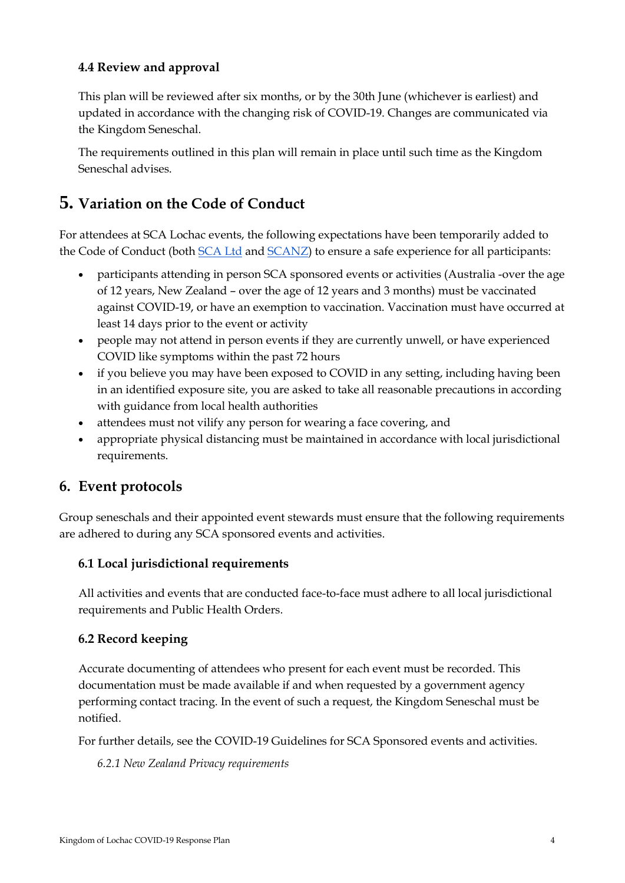#### <span id="page-3-0"></span>**4.4 Review and approval**

This plan will be reviewed after six months, or by the 30th June (whichever is earliest) and updated in accordance with the changing risk of COVID-19. Changes are communicated via the Kingdom Seneschal.

The requirements outlined in this plan will remain in place until such time as the Kingdom Seneschal advises.

## <span id="page-3-1"></span>**5. Variation on the Code of Conduct**

For attendees at SCA Lochac events, the following expectations have been temporarily added to the Code of Conduct (both [SCA Ltd](https://sca.org.au/documents/policy/code-of-conduct/) and [SCANZ\)](https://sca.org.nz/files/docs/policy/SCANZ%20Code%20of%20Conduct_draft.doc) to ensure a safe experience for all participants:

- participants attending in person SCA sponsored events or activities (Australia -over the age of 12 years, New Zealand – over the age of 12 years and 3 months) must be vaccinated against COVID-19, or have an exemption to vaccination. Vaccination must have occurred at least 14 days prior to the event or activity
- people may not attend in person events if they are currently unwell, or have experienced COVID like symptoms within the past 72 hours
- if you believe you may have been exposed to COVID in any setting, including having been in an identified exposure site, you are asked to take all reasonable precautions in according with guidance from local health authorities
- attendees must not vilify any person for wearing a face covering, and
- appropriate physical distancing must be maintained in accordance with local jurisdictional requirements.

### <span id="page-3-2"></span>**6. Event protocols**

Group seneschals and their appointed event stewards must ensure that the following requirements are adhered to during any SCA sponsored events and activities.

#### <span id="page-3-3"></span>**6.1 Local jurisdictional requirements**

All activities and events that are conducted face-to-face must adhere to all local jurisdictional requirements and Public Health Orders.

#### <span id="page-3-4"></span>**6.2 Record keeping**

Accurate documenting of attendees who present for each event must be recorded. This documentation must be made available if and when requested by a government agency performing contact tracing. In the event of such a request, the Kingdom Seneschal must be notified.

For further details, see the COVID-19 Guidelines for SCA Sponsored events and activities.

*6.2.1 New Zealand Privacy requirements*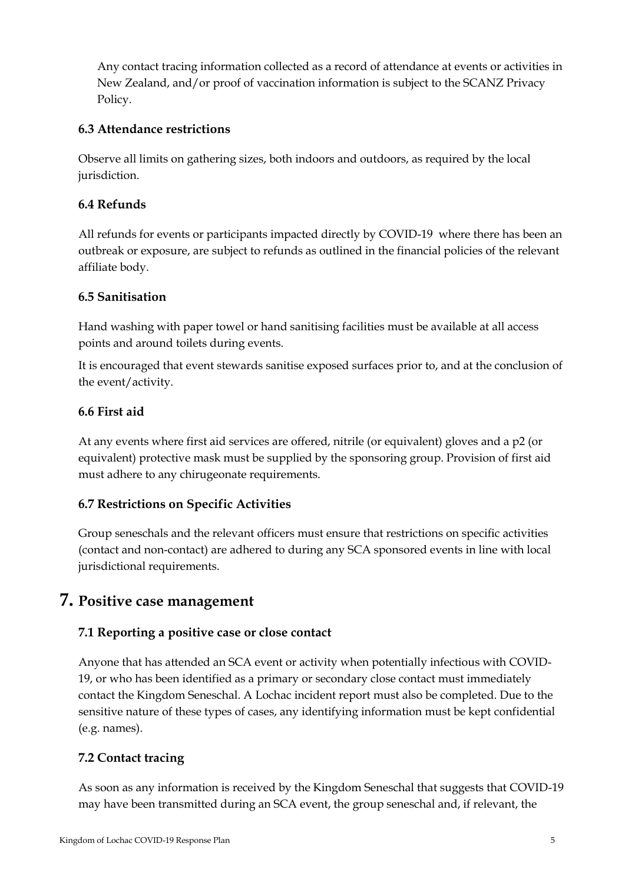Any contact tracing information collected as a record of attendance at events or activities in New Zealand, and/or proof of vaccination information is subject to the SCANZ Privacy Policy.

#### <span id="page-4-0"></span>**6.3 Attendance restrictions**

Observe all limits on gathering sizes, both indoors and outdoors, as required by the local jurisdiction.

#### <span id="page-4-1"></span>**6.4 Refunds**

All refunds for events or participants impacted directly by COVID-19 where there has been an outbreak or exposure, are subject to refunds as outlined in the financial policies of the relevant affiliate body.

#### <span id="page-4-2"></span>**6.5 Sanitisation**

Hand washing with paper towel or hand sanitising facilities must be available at all access points and around toilets during events.

It is encouraged that event stewards sanitise exposed surfaces prior to, and at the conclusion of the event/activity.

#### <span id="page-4-3"></span>**6.6 First aid**

At any events where first aid services are offered, nitrile (or equivalent) gloves and a p2 (or equivalent) protective mask must be supplied by the sponsoring group. Provision of first aid must adhere to any chirugeonate requirements.

#### <span id="page-4-4"></span>**6.7 Restrictions on Specific Activities**

Group seneschals and the relevant officers must ensure that restrictions on specific activities (contact and non-contact) are adhered to during any SCA sponsored events in line with local jurisdictional requirements.

#### <span id="page-4-5"></span>**7. Positive case management**

#### <span id="page-4-6"></span>**7.1 Reporting a positive case or close contact**

Anyone that has attended an SCA event or activity when potentially infectious with COVID-19, or who has been identified as a primary or secondary close contact must immediately contact the Kingdom Seneschal. A Lochac incident report must also be completed. Due to the sensitive nature of these types of cases, any identifying information must be kept confidential (e.g. names).

#### <span id="page-4-7"></span>**7.2 Contact tracing**

As soon as any information is received by the Kingdom Seneschal that suggests that COVID-19 may have been transmitted during an SCA event, the group seneschal and, if relevant, the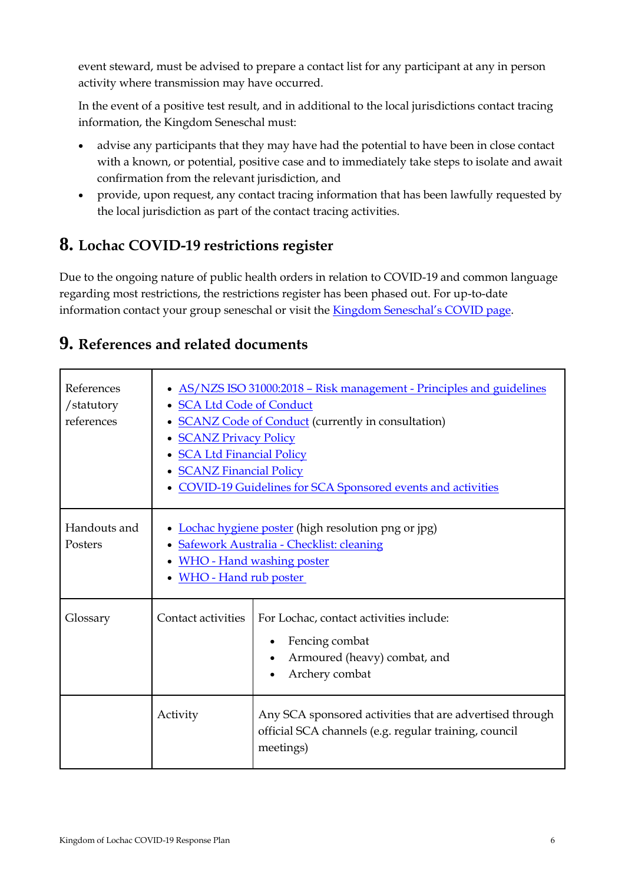event steward, must be advised to prepare a contact list for any participant at any in person activity where transmission may have occurred.

In the event of a positive test result, and in additional to the local jurisdictions contact tracing information, the Kingdom Seneschal must:

- advise any participants that they may have had the potential to have been in close contact with a known, or potential, positive case and to immediately take steps to isolate and await confirmation from the relevant jurisdiction, and
- provide, upon request, any contact tracing information that has been lawfully requested by the local jurisdiction as part of the contact tracing activities.

## <span id="page-5-0"></span>**8. Lochac COVID-19 restrictions register**

Due to the ongoing nature of public health orders in relation to COVID-19 and common language regarding most restrictions, the restrictions register has been phased out. For up-to-date information contact your group seneschal or visit the [Kingdom Seneschal's COVID page](https://seneschal.lochac.sca.org/covid-19-response/).

## <span id="page-5-1"></span>**9. References and related documents**

| References<br>/statutory<br>references | AS/NZS ISO 31000:2018 - Risk management - Principles and guidelines<br><b>SCA Ltd Code of Conduct</b><br><b>SCANZ Code of Conduct (currently in consultation)</b><br><b>SCANZ Privacy Policy</b><br><b>SCA Ltd Financial Policy</b><br><b>SCANZ Financial Policy</b><br><b>COVID-19 Guidelines for SCA Sponsored events and activities</b> |                                                                                                                                |  |  |
|----------------------------------------|--------------------------------------------------------------------------------------------------------------------------------------------------------------------------------------------------------------------------------------------------------------------------------------------------------------------------------------------|--------------------------------------------------------------------------------------------------------------------------------|--|--|
| Handouts and<br>Posters                | Lochac hygiene poster (high resolution png or jpg)<br>• Safework Australia - Checklist: cleaning<br><b>WHO</b> - Hand washing poster<br><b>WHO</b> - Hand rub poster                                                                                                                                                                       |                                                                                                                                |  |  |
| Glossary                               | Contact activities                                                                                                                                                                                                                                                                                                                         | For Lochac, contact activities include:<br>Fencing combat<br>Armoured (heavy) combat, and<br>Archery combat                    |  |  |
|                                        | Activity                                                                                                                                                                                                                                                                                                                                   | Any SCA sponsored activities that are advertised through<br>official SCA channels (e.g. regular training, council<br>meetings) |  |  |